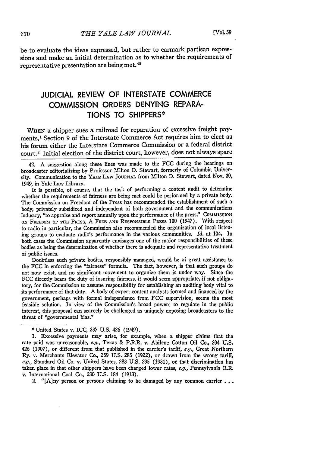be to evaluate the ideas expressed, but rather to earmark partisan expressions and make an initial determination as to whether the requirements of representative presentation are being met.<sup>42</sup>

## **JUDICIAL** REVIEW OF **INTERSTATE** COMMERCE **COMMISSION** ORDERS **DENYING** REPARA-**TIONS** TO SHIPPERS\*

WHEN a shipper sues a railroad for reparation of excessive freight payments,' Section 9 of the Interstate Commerce Act requires him to elect as his forum either the Interstate Commerce Commission or a federal district court.2 Initial election of the district court, however, does not always spare

It is possible, of course, that the task of performing a content audit to determine whether the requirements of fairness are being met could be performed by a private body. The Commission on Freedom of the Press has recommended the establishment of such a body, privately subsidized and independent of both government and the communications industry, "to appraise and report annually upon the performance of the press." Commission oN FREDDom OF THE PREss, A FRE **AND** RESPONSIBLE PRESS 100 (1947). With respect to radio in particular, the Commission also recommended the organization of local listening groups to evaluate radio's performance in the various communities. *Id.* at 104. In both cases the Commission apparently envisages one of the major responsibilities of these bodies as being the determination of whether there is adequate and representative treatment of public issues.

Doubtless such private bodies, responsibly managed, would be of great assistance to the **FCC** in enforcing the "fairness" formula. The fact, however, is that such groups do not now exist, and no significant movement to organize them is under way. Since the FCC directly bears the duty of insuring fairness, it would seem appropriate, if not obligatory, for the Commission to assume responsibility for establishing an auditing body vital to its performance of that duty. **A** body of expert content analysts formed and financed by the government, perhaps with formal independence from **FCC** supervision, seems the most feasible solution. In view of the Commission's broad powers to regulate in the public interest, this proposal can scarcely be challenged as uniquely exposing broadcasters to the threat of "governmental bias."

2. "[A]ny person or persons claiming to be damaged by any common carrier . . .

<sup>42.</sup> A suggestion along these lines was made to the FCC during the hearings on broadcaster editorializing by Professor Milton D. Stewart, formerly of Columbia University. Communication to the YAIx LAw JouRNAL from Milton D. Stewart, dated Nov. **30,** 1949, in Yale Law Library.

<sup>\*</sup> United States v. ICC, 337 U.S. 426 (1949).

<sup>1.</sup> Excessive payments may arise, for example, when a shipper claims that the rate paid was unreasonable, e.g., Texas & P.PRR. v. Abilene Cotton **Oil** Co., 204 U.S. 426 (1907), or different from that published in the carrier's tariff,  $e.g.,$  Great Northern Ry. v. Merchants Elevator Co., 259 U.S. **285** (1922), or drawn from the wrong tariff, e.g., Standard Oil Co. v. United States, **283** U.S. 235 (1931), or that discrimination has taken place in that other shippers have been charged lower rates,  $e.g.,$  Pennsylvania R.R. v. International Coal Co., **230** U.S. 184 (1913).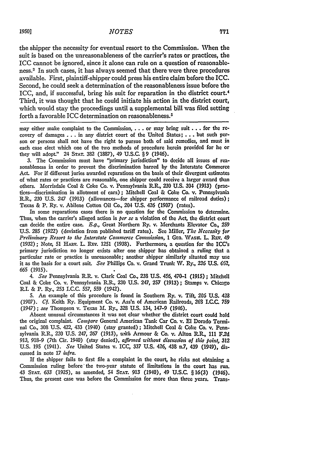the shipper the necessity for eventual resort to the Commission. When the suit is based on the unreasonableness of the carrier's rates or practices, the ICC cannot be ignored, since it alone can rule on a question of reasonableness.3 In such cases, it has always seemed that there were three procedures available. First, plaintiff-shipper could press his entire claim before the ICC. Second, he could seek a determination of the reasonableness issue before the ICC, and, if successful, bring his suit for reparation in the district court.' Third, it was thought that he could initiate his action in the district court, which would stay the proceedings until a supplemental bill was filed setting forth a favorable ICC determination on reasonableness. <sup>5</sup>

may either make complaint to the Commission, ... or may bring suit.., for the recovery of damages. **. .** in any district court of the United States; **...** but such person or persons shall not have the right to pursue both of said remedies, and must in each case elect which one of the two methods of procedure herein provided for he or they will adopt." 24 **STAT. 382 (1887),** 49 **U.S.C.** § 9 (1946).

**3.** The Commission must have "primary jurisdiction" to decide all issues of reasonableness in order to prevent the discrimination barred **by** the Interstate Commerce **Act.** For if different juries awarded reparations on the basis of their divergent estimates of what rates or practices are reasonable, one shipper could receive a larger award **than** others. Morrisdale Coal & Coke Co. **v.** Pennsylvania R.R., **230 U.S.** 304 **(1913)** (practices--discrimination in allotment of cars); Mitchell Coal & Coke Co. **v.** Pennsylvania **R.R., 230 U.S.** 247 **(1913)** (allowances-for shipper performance of railroad duties); Texas & P. Ry. v. Abilene Cotton Oil Co., 204 **U.S.** 426 (1907) (rates).

In some reparations cases there is no question for the Commission to determine. Thus, when the carrier's alleged action is *per so* a violation of the Act, the district court can decide the entire case. **E.g.,** Great Northern Ry. v. Merchants Elevator Co., **259 U.S. 285 (1922)** (deviation from published tariff rates). See Miller, *The Nccessity for Preliminary Resort to the Interstate Commerce Commission, 1 GEO. WASH. L. REV. 49* **(1932);** Note, **51** H.Auv. L. REv. **1251 (1938).** Furthermore, a question for the ICC's primary jurisdiction no longer exists after one shipper has obtained a ruling that a particular rate or practice is unreasonable; another shipper similarly situated may use it as the basis for a court suit. *See* Phillips Co. v. Grand Trunk **NV.** Ry., **236 U.S. 62,** *665* **(1915).**

*4. See* Pennsylvania R.R. v. Clark Coal Co., **238 U.S.** 456, 470-1 **(1915) ;** Mitchell Coal & Coke Co. v. Pennsylvania R.R., **230 U.S.** 247, **257** (1913) **;** Stamps v. Chicago **1I.** & P. Ry., **253 I.C.C. 557, 559** (1942).

**5.** An example of this procedure is found in Southern Ry. v. Tift, **205 U.S. 428 (1907).** *Cf.* Keith Ry. Equipment **Co.** v. Ass'n of American Railroads, **26S** I.C.C. **759** (1947); *see* Thompson **v.** Texas **Al.** Ry, 328 **U.S.** 134, 147-9 (1946).

Absent unusual circumstances it **was** not clear whether the district court could hold the original complaint. *Compare* General American Tank Car Co. v. **El** Dorado Terminal Co., **308 U.S.** 422, 433 (1940) (stay granted); Mitchell Coal & Coke Co. **v.** Pennsylvania R.R., **230 U.S.** 247, **267 (1913),** uith Armour & Co. v. Alton **RR, 111 F.2d** *913,* 918-9 (7th Cir. 1940) (stay denied), *affirmed without discussion of this point,* **312** U.S. 195 (1941). *See* United States v. ICC, 337 **U.S.** 426, **438** n.7, 439 (1949), discussed in note 17 *infra.*

**If** the shipper fails to first file a complaint in the court, he risks not obtaining a Commission ruling before' the two-year statute of limitations in the court has run. 43 **STAT. 633** (1925), as amended, 54 STAT. **913** (1940), 49 U.S.C. § **16(3)** (1946). Thus, the present case was before the Commission for more than three years. Trans-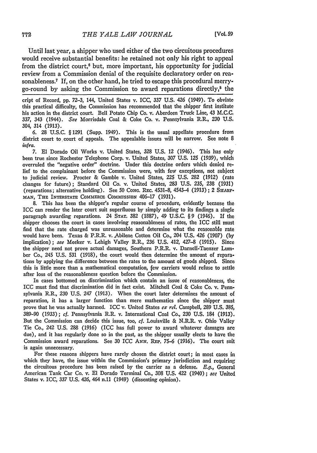Until last year, a shipper who used either of the two circuitous procedures would receive substantial benefits: he retained not only his right to appeal from the district court,<sup>6</sup> but, more important, his opportunity for judicial review from a Commission denial of the requisite declaratory order on reasonableness.<sup>7</sup> If, on the other hand, he tried to escape this procedural merrygo-round by asking the Commission to award reparations directly, $\delta$  the

cript of Record, pp. 72-3, 144, United States v. ICC, *337* U.S. 426 (1949). To obviate this practical difficulty, the Commission has recommended that the shipper first institute his action in the district court. Bell Potato Chip Co. v. Aberdeen Truck Line, 43 **M.C.C. 337,** 343 (1944). *See* Morrisdale Coal & Coke Co. v. Pennsylvania R.R., **230 U.S.** 304, 314 **(1913).**

**6. 28 U.S.C.** § **1291** (Supp. 1949). This is the usual appellate procedure from district court to court of appeals. The appealable issues will be narrow. See note **8** *infra.*

**7. El** Dorado Oil Works v. United States, **328 U.S.** 12 (1946). This has only been true since Rochester Telephone Corp. v. United States, **307 U.S. 125 (1939),** which overruled the "negative order" doctrine. Under this doctrine orders which denied relief to the complainant before the Commission were, with few exceptions, not subject to judicial review. Procter & Gamble v. United States, **225 U.S. 282 (1912)** (rate changes for future); Standard Oil Co. v. United States, **283 U.S. 235, 238 (1931)** (reparations; alternative holding). See **50 CoNG.** lEc. **4531-8,** 4543-4 **(1913) ;** 2 SiAnF. **MAN,** THE INTERSTATE COMMERCE CoMMissioN 406-17 **(1931).**

**8.** This has been the shipper's regular course of procedure, evidently because the ICC can render the later court suit superfluous **by** simply adding to its findings a single paragraph awarding reparations. 24 **STAT.** 382 **(1887),** 49 **U.S.C.** § **9** (1946). If the shipper chooses the court in cases involving reasonableness of rates, the ICC still must find that the rate charged was unreasonable and determine what the reasonable rate would have been. Texas & P.R.R. v.,Abilene Cotton Oil Co., 204 **U.S.** 426 **(1907) (by** implication); *see* Meeker v. Lehigh Valley R.R., **236 U.S.** 412, 427-8 **(1915).** Since the shipper need not prove actual damages, Southern P.R.R. v. Darnell-Taenzer Lumber Co., 245 **U.S. 531 (1918),** the court would then determine the amount of reparations **by** applying the difference between the rates to the amount of goods shipped. Since this is little more than a mathematical computation, few carriers would refuse to settle after loss of the reasonableness question before the Commission.

In cases bottomed on discrimination which contain an issue of reasonableness, the ICC must find that discrimination did in fact exist. Mitchell Coal & Coke Co. v. Pennsylvania R.R., *230* **U.S.** 247 **(1913).** When the court later determines the amount of reparation, it has a larger function than mere mathematics since the shipper must prove that he was actually harmed. ICC v. United States *cx rel.* Campbell, **289 U.S.** 385, **389-90** (1933); *cf.* Pennsylvania R.R. v. International Coal Co., **230 U.S.** 184 **(1913).** But the Commission can decide this issue, too, *cf.* Louisville **&** N.R.R. **v.** Ohio Valley Tie Co., 242 **U.S. 288 (1916)** (ICC has full power to award whatever damages are due), and it has regularly done so in the past, as the shipper usually elects to have tie Commission award reparations. See **30** ICC *ANN.* **REP. 75-6 (1916).** The court stilt is again unnecessary.

For these reasons shippers have rarely chosen the district court; in most cases in which they have, the issue within the Commission's primary jurisdiction and requiring the circuitous procedure has been raised **by** the carrier as a defense. *E.g.,* General American Tank Car Co. v. **El** Dorado Terminal Co., **308 U.S.** 422 (1940); *sec* United States v. ICC, **337 U.S.** 426, 464 n.11 (1949) (dissenting opinion).

772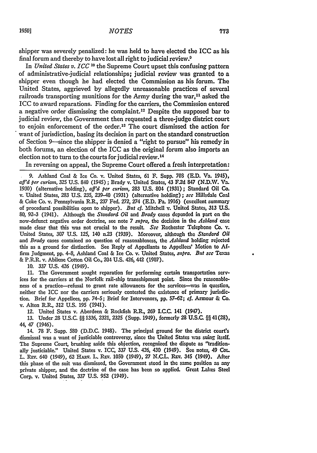shipper was severely penalized: he was held to have elected the ICC as his final forum and thereby to have lost all right to judicial review.9

In *United States v. ICC "I* the Supreme Court upset this confusing pattern of administrative-judicial relationships; judicial review was granted to a shipper even though he had elected the Commission as his forum. The United States, aggrieved by allegedly unreasonable practices of several railroads transporting munitions for the Army during the war.<sup>11</sup> asked the ICC to award reparations. Finding for the carriers, the Commission entered a negative order dismissing the complaint. 12 Despite the supposed bar to judicial review, the Government then requested a three-judge district court to enjoin enforcement of the order.<sup>13</sup> The court dismissed the action for want of jurisdiction, basing its decision in part on the standard construction of Section 9--since the shipper is denied a "right to pursue" his remedy in both forums, an election of the ICC as the original forum also imports an election not to turn to the courts for judicial review.<sup>14</sup>

In reversing on appeal, the Supreme Court offered a fresh interpretation:

**10.** 337 **U.S.** 426 (1949).

**11.** The Government sought reparation for performing certain transportation services for the carriers at the Norfolk rail-ship transshipment point. Since the reasonableness of a practice-refusal to grant rate allowances for the services-ms in question, neither the **ICC** nor the carriers seriously contested the existence of primary jurisdiction. Brief for Appellees, **pp.** 74-5; Brief for Intervenors, **pp. 57-62;** *cf.* Armour & Co. v. Alton R.R., **312** U.S. **195** (1941).

12. United States v. Aberdeen & Rockfish R.R., 269 I.C.C. 141 (1947).

**13.** Under 28 **U.S.C.** §§ **1336, 2321,** 2325 (Supp. 1949), formerly 28 **U.S.C** §§ 41(28), 44, 47 (1946).

14. 78 F. Supp. 580 (D.D.C. 1948). The principal ground for the district court's dismissal was a want of justiciable controversy, since the United States was suing itself. The Supreme Court, brushing aside this objection, recognized the dispute as "traditionally justiciable." United States v. ICC, **337 U.S.** 426, 430 (1949). See notes, 49 CoL L. **REV.** 640 (1949), **62 HAav.** L. REv. **1050** (1949), **27 N.C.L.** REv. 345 (1949). After this phase of the suit was dismissed, the Government stood in the same position as any private shipper, and the doctrine of the case has been so applied. Great Lakes Steel Corp. v. United States, *337* **U.S. 952** (1949).

**<sup>9.</sup>** Ashland Coal & Ice Co. v. United States, **61** *F.* Supp. **703** (.D. Va. 1945), *aff'd per curiam,* **325 U.S.** 840 (1945) **;** Brady v. United States, 43 F.2d 847 (N.D.W. Va. **1930)** (alternative holding), *aj'd per curian,* **283 U.S.** 804 **(1931);** Standard Oil **Co.** v. United States, **283 U.S. 235,** 239-40 **(1931)** (alternative holding); *see* Hillsdale Coal & Coke Co. v. Pennsylvania R.R., **237** Fed. **272,** 274 **(E.D.** Pa. **1916)** (excellent summary of procedural possibilities open to shipper). *But* **cf.** Mitchell **v.** United States, 313 **U.S. 80,** 92-3 (1941). Although the *Standard Oil and Brady* cases depended in part on the now-defunct negative order doctrine, see note 7 *supra,* the decision in the *Ashland case* made clear that this was not crucial to the result. **See** Rochester Telephone **Co. v.** United States, 307 U.S. 125, 140 n23 (1939). Moreover, although the *Stardard Oil* and *Brady* cases contained no question of reasonableness, the *Ashland* holding rejected this as a ground for distinction. See Reply of Appellants to Appellecs' Motion to **Af**firm Judgment, **pp.** 4-8, Ashland Coal & Ice **Co.** v. United States, *supra. But sce Texas* & P.R-R. v. Abilene Cotton Oil Co., 204 U.S. 426, 442 (1907).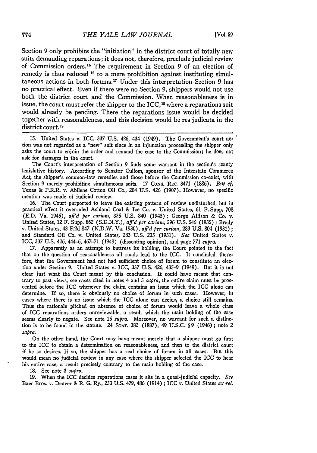Section 9 only prohibits the "initiation" in the district court of totally new suits demanding reparations; it does not, therefore, preclude judicial review of Commission orders.<sup>15</sup> The requirement in Section 9 of an election of remedy is thus reduced <sup>16</sup> to a mere prohibition against instituting simultaneous actions in both forums. 17 Under this interpretation Section 9 has no practical effect. Even if there were no Section 9, shippers would not use both the district court and the Commission. When reasonableness is in issue, the court must refer the shipper to the ICC,<sup>18</sup> where a reparations suit would already be pending. There the reparations issue would be decided together with reasonableness, and this decision would be res judicata in the district court.<sup>19</sup>

15. United States v. ICC, 337 U.S. 426, 434 (1949). The Government's court action was not regarded as a "new" suit since in an injunction proceeding the shipper only asks the court to enjoin the order and remand the case to the Commission; he does not ask for damages in the court.

The Court's interpretation of Section 9 finds some warrant in the section's scanty legislative history. According to Senator Cullom, sponsor of the Interstate Commerce Act, the shipper's common-law remedies and those before the Commission co-exist, with Section 9 merely prohibiting simultaneous suits. 17 **CONG. REC.** 3471 (1886). *But cf.* Texas & P.R.R. v. Abilene Cotton Oil Co., 204 U.S. 426 (1907). However, no specific mention was made of judicial review.

16. The Court purported to leave the existing pattern of review undisturbed, but in practical effect it overruled Ashland Coal & Ice Co. v. United States, 61 F. Supp. **708** (E.D. Va. 1945), *aff'd per curiam,* 325 U.S. 840 (1945); George Allison & Co. v. United States, 12 F. Supp. 862 (S.D.N.Y.), *aff'd per curiam,* 296 U.S. 546 (1935) ; Brady v. United States, 43 F.2d 847 (N.D.W. Va. 1930), *aff'd peer curiam,* 283 U.S. 804 (1931) **;** and Standard Oil Co. v. United States, 283 U.S. 235 (1931). *See* United States v. ICC, 337 U.S. 426, 444-6, 467-71 (1949) (dissenting opinion), and page *771 slupra.*

17. Apparently as an attempt to buttress its holding, the Court pointed to the fact that on the question of reasonableness all roads lead to the ICC. It concluded, therefore, that the Government had not had sufficient choice of forum to constitute an election under Section 9. United States v. ICC, 337 U.S. *426,* 435-9 (1949). But it is not clear just what the Court meant by this conclusion. It could have meant that contrary to past views, see cases cited in notes 4 and 5 *supra,* the entire claim must be prosecuted before the ICC whenever the claim contains an issue which the ICC alone can determine. If so, there is obviously no choice of forum in such cases. However, in cases where there is no issue which the ICC alone can decide, a choice still remains. Thus the rationale pitched on absence of choice of forum would leave a whole class of ICC reparations orders unreviewable, a result which the main holding of the case seems clearly to negate. See note 15 *supra.* Moreover, no warrant for such a distinction is to be found in the statute. 24 **STAT.** 382 (1887), 49 U.S.C. § 9 (1946) ; note 2 *supra.*

On the other hand, the Court may have meant merely that a shipper must go first to the ICC to obtain a determination on reasonableness, and then to the district court if he so desires. If so, the shipper has a real choice of forum in all cases. But this would mean no judicial review in any case where the shipper selected the **ICC** to hear his entire case, a result precisely contrary to the main holding of the case.

18. See note 3 supra.

19. When the ICC decides reparations cases it sits in a quasi-judicial capacity. *See* Baer Bros. v. Denver & *R.* G. Ry., 233 U.S. 479, 486 (1914) ; ICC v. United States *ex ret.*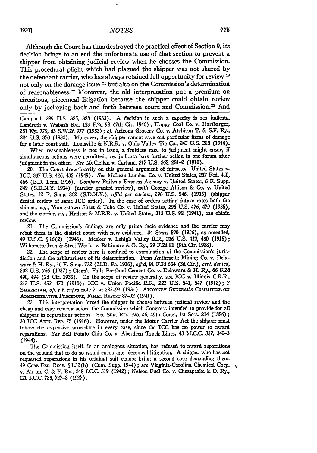Although the Court has thus destroyed the practical effect of Section **9,** its decision brings to an end the unfortunate use of that section to prevent a shipper from obtaining judicial review when he chooses the Commission. This procedural plight which had plagued the shipper was not shared **by** the defendant carrier, who has always retained full opportunity for review **2** not only on the damage issue 21 but also on the Commission's determination of reasonableness. 22 Moreover, the old interpretation put a premium on circuitous, piecemeal litigation because the shipper could obtain review only by jockeying back and forth between court and Commission.<sup>23</sup> And

Campbell, **289 U.S. 385, 388 (1933).** A decision in such a capacity is res judicata. Landreth v. Wabash Ry., **153 F.2d 98** (7th Cir. 1946) **;** Happy Coal Co. **v.** Hartbarger, **251 Ky. 779, 65** S.W.2d *977* **(1933) ;** cf. Arizona Grocery Co. v. Atchison T. & S.F. Ry., **284 U.S. 370 (1932).** Moreover, the shipper cannot save out particular items of damage for a later court suit. Louisville & N.R.R. v. Ohio Valley Tie Co., 242 **U.S.** 289 **(1916).**

When reasonableness is not in issue, a fruitless race to judgment might ensue, if simultaneous actions were permitted; res judicata bars further action in one forum after judgment in the other. *See* McClellan v. Carland, **217 U.S. 268,** 281-2 **(1910).**

20. The Court drew-heavily on this general argument of fairness. United States v. ICC, **337 U.S.** 426, 435 (1949). *See* McLean Lumber Co. v. United States, **237** Fed. 460, 466 **(E.D.** Tenn. **1916).** *Compare* Railway Express Agency v. United States, **6** F. Supp. 249 **(S.D.N.Y.** 1934) (carrier granted review), *uith* George Allison & Co. v. United States, 12 F. Supp. **862 (S.D.N.Y.),** *aff'd per curiam,* **296 U.S.** 546, **(1935)** (shipper denied review of same ICC order). In the case of orders setting future rates both the shipper, *e.g.,* Youngstown Sheet & Tube Co. v. United States, 295 **U.S.** 476, 479 **(1935),** and the carrier, *e.g.,* Hudson & **M.R.R.** v. United States, **313 U.S. 93** (1941), can obtain review.

21. The Commission's findings are only prima facie evidence and the carrier **may** rebut them in the district court with new evidence. 34 **STAT. 590** (1905), as amended, 49 U.S.C. § **16(2)** (1946). Meeker v. Lehigh Valley IL, **236** U.S. 41Z 430 (1915); Willamette Iron & Steel Works v. Baltimore & **0.** Ry., 29 F.2d **9O** (9th Cir. 1928).

22. The scope of review here is confined to examination of the Commission's jurisdiction and the arbitrariness of its determination. Penn Anthracite Mining Co. **v.** Delaware **&** H. Ry., **16** F. Supp. **732** (N.D. Pa. **1936),** *aff'd,* **91** F.2d 634 **(3d** Cir.), *cert. denied,* **302 U.S. 756** (1937) **;** Glenn's Falls Portland Cement Co. v. Delaware & H. **Ry.,** *65* F2d 490, 494 **(2d** Cir. 1933). On the scope of'review generally, see ICC v. Illinois **C.ILR., 215** U.S. 452, 470 (1910); ICC v. Union Pacific R.R., **2"2** U.S. 541, 547 **(1912);** 2 SHARFMAN, *op. cit. supra* note 7, at 385-92 (1931) ; ATTORNEY GENERAL'S COMMITTEE ON ADMINISTRATIVE PROCEDURE, FINAL REPORT 87-92 (1941).

**23.** This interpretation forced the shipper to choose behveen judicial review and the cheap and easy remedy before the Commission which Congress intended to provide for all shippers in reparations actions. See **SEN. REP.** No. 46, 49th Cong., 1st Sess. 214 **(186) ;** 30 ICC Aww. REP. 75 (1916). However, under the Motor Carrier Act the shipper must follow the expensive procedure in every case, since the **ICC** has no power to award reparations. *See* Bell Potato Chip Co. v. Aberdeen Truck Lines, 43 M.C.C. **337,** 342-3 (1944).

The Commission itself, in an analogous situation, has refused to award reparations on the ground that to do so would encourage piecemeal litigation. A shipper who has not requested reparations in his original suit cannot bring a second case demanding them. 49 **CoDE FED.** Racs. § **1.32(b)** (Cum. Supp. 1944) ; *see* Virginia-Carolina Chemical Corp. v. Akron, **C. &** Y. Ry., 248 **I.C.C. 519** (1942); Nelson Fuel Co. **v.** Chesapeake & **0. Ry., 120 LC.C.** 723, **727-8 (1927).**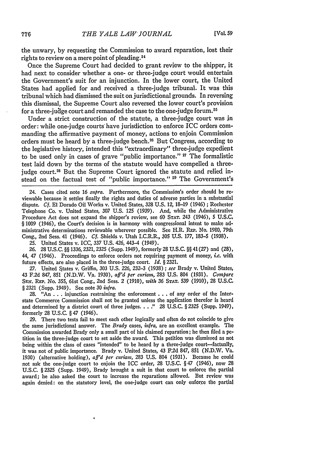the unwary, by requesting the Commission to award reparation, lost their rights to review on a mere point of pleading. <sup>24</sup>

Once the Supreme Court had decided to grant review to the shipper, it had next to consider whether a one- or three-judge court would entertain the Government's suit for an injunction. In the lower court, the United States had applied for and received a three-judge tribunal. It was this tribunal which had dismissed the suit on jurisdictional grounds. In reversing this dismissal, the Supreme Court also reversed the lower court's provision for a three-judge court and remanded the case to the one-judge forum.<sup>25</sup>

Under a strict construction of the statute, a three-judge court was in order: while one-judge courts'have jurisdiction to enforce ICC orders commanding the affirmative payment of money, actions to enjoin Commission orders must be heard by a three-judge bench.<sup>26</sup> But Congress, according to the legislative history, intended this "extraordinary" three-judge expedient to be used only in cases of grave "public importance." **27** The formalistic test laid down by the terms of the statute would have compelled a threejudge court.<sup>28</sup> But the Supreme Court ignored the statute and relied instead on the factual test of "public importance." <sup>29</sup> The Government's

24. Cases cited note 16 *supra.* Furthermore, the Commission's order should be reviewable because it settles finally the rights and duties of adverse parties in a substantial dispute. *Cf.* **El** Dorado Oil Works v. United States, 328 U.S. 12, 18-19 (1946) ; Rochester Telephone Co. v. United States, 307 U.S. 125 (1939). And, while the Administrative Procedure Act does not expand the shipper's review, see 60 **STAT. 243** (1946), 5 U.S.C. § 1009 (1946), the Court's decision is in harmony with congressional intent to make ad' ministrative determinations reviewable wherever possible. See H.R. **REP.** No. 1980, 79th Cong., 2nd Sess. 41 (1946). *Cf.* Shields v. Utah I.C.R.R., 305 U.S. 177, 183-5 (1938).

25. United States v. ICC, 337 U.S. 426, 443-4 (1949).

26. 28 U.S.C. §§ 1336, 2321, 2325 (Supp. 1949), formerly 28 U.S.C. §§ 41(27) and (28), 44, 47 (1946). Proceedings to enforce orders not requiring payment of money, *i.e.* with future effects, are also placed in the three-judge court. *Id. §* 2321.

27. United States v. Griffin, 303 U.S. *226,* 232-3 (1938) ; *see* Brady v. United States, 43 F.2d 847, 851 (N.D.W. Va. 1930), *affd per curiam,* 283 U.S. 804 (1931). *Compare* **SEN. REP.** No. 355, 61st Cong., 2nd Sess. 2 (1910), *with* 36 **STAT. 539** (1910), 28 U.S.C. § 2321 (Supp. 1949). See note *30 infra.*

28. "An . . . injunction restraining the enforcement . . . of any order of the Interstate Commerce Commission shall not be granted unless the application therefor is heard and determined by a district court of three judges.  $\ldots$ ." 28 U.S.C. § 2325 (Supp. 1949), formerly 28 U.S.C. § 47 (1946).

29. There two tests fail to meet each other logically and often do not coincide to give the same jurisdictional answer. The *Brady* cases, *infra,* are an excellent example, The Commission awarded Brady only a small part of his claimed reparation; he then filed a petition in the three-judge court to set aside the award. This petition was dismissed as not being within the class of cases "intended" to be heard by a three-judge court-factually, it was not of public importance. Brady v. United States, 43 F.2d 847, 851 (N.D.W. Va. 1930) (alternative holding), *aff'd per curiam,* 283 U.S. 804 (1931). Because he could not ask the one-judge court to enjoin the ICC order, 28 U.S.C. §47 (1946), now 28 U.S.C. §2325 (Supp. 1949), Brady brought a suit in that court to enforce the partial award; he also asked the court to increase the reparations allowed. But review was again denied: on the statutory level, the one-judge court can only enforce the partial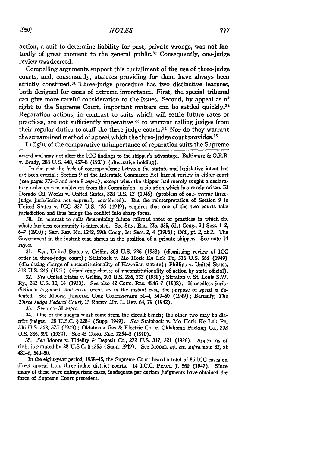action, a suit to determine liability for past, private wrongs, was not factually of great moment to the general public.<sup> $59$ </sup> Consequently, one-judge review was decreed.

Compelling arguments support this curtailment of the use of three-judge courts, and, consonantly, statutes providing for them have always been strictly construed.<sup>31</sup> Three-judge procedure has two distinctive features, both designed for cases of extreme importance. First, the special tribunal can give more careful consideration to the issues. Second, by appeal as of right to the Supreme Court, important matters can be settled quickly.<sup>32</sup> Reparation actions, in contrast to suits which will settle future rates or practices, are not sufficiently imperative **31** to warrant calling judges from their regular duties to staff the three-judge courts.34 Nor do they warrant the streamlined method of appeal which the three-judge court provides.<sup>35</sup>

In light of the comparative unimportance of reparation suits the Supreme

award and may not alter the ICC findings to the shipper's advantage. Baltimore & O.R.R. v. Brady, **288** U.S. 448, 457-8 (1933) (alternative holding).

In the past the lack of correspondence between the statute and legislative intent has not been crucial: Section **9** of the Interstate Commerce Act barred review in either court (see pages **772-3** and note *9 supra),* except when the shipper had merely sought a declaratory order on reasonableness from the Commission-a situation which has rarely arisen. **El** Dorado Oil Works v. United States, 328 U.S. 12 (1946) (problem of one- *versus* threejudge jurisdiction not expressly considered). But the reinterpretation of Section 9 in United States v. ICC, **337 U.S.** 426 (1949), requires that one of the two courts take jurisdiction and thus brings the conflict into sharp focus.

**30.** In contrast to suits determining future railroad rates or practices in which the whole business community is interested. See SEm. RE,. No. 355, 61st Cong, *2d* Sess. *1-2,* **6-7** (1910) ; Sx. **REP.** No. 1242, 59th Cong., 1st Sess. 2, 4 (1906) **;** ibid., pt. *2,* at 2. The Government in the instant case stands in the position of a private shipper. See note 14 *slpra.*

**31.** *E.g.,* United States v. Griffin, **303 U.S.** 226 **(1938)** (dismissing review **of** ICC order in three-judge court); Stainback v. Mo Hock Ke Lok Po, **336** U.S. **363** (1949) (dismissing charge of unconstitutionality of Hawaiian statute) **;** Phillips v. United States, 312 U.S. 246 (1941) (dismissing charge of unconstitutionality of action by state official).

*32. See* United States v. Griffin, **303** U.S. 226, **233** (1938) ; Stratton v. St. Louis **S.W.** Ry., 282 U.S. 10, 14 (1930). See also 42 Conc. REc. 4846-7 (1908). If needless jurisdictional argument and error occur, as in the instant case, the purpose of speed is defeated. See MOORE, JUDICIAL CODE COMMENTARY 51-4, 549-50 (1949); Berueffy, The *Three Judge Federal Court,* 15 RoCKY lAfr. L. REv. 64, **79** (1942).

**33.** See note **30** *supra.*

34. One of the judges must come from the circuit bench; the other twvo may be district judges. 28 **U.S.C.** § 2234 (Supp. 1949). *See* Stainback v. Mo Hock Ke **Lok** Po, **336 U.S. 368, 375** (1949); Oklahoma Gas & Electric Co. v. Oklahoma Packing Co., **292 U.S. 386, 391** (1934). See 45 *CoNG.* Rrc. *7254-5* **(1910).**

**35.** *See* Moore v. Fidelity & Deposit Co., *272* **U.S. 317,** 321 **(1926).** Appeal as of right is granted by 28 U.S.C. § 1253 (Supp. 1949). See Moore, *op. cit. supra* note 32, at 481-6, 540-50.

In the eight-year period, 1938-45, the Supreme Court heard a total of **86** ICC cases on direct appeal from three-judge district courts. 14 I.C.C. PRACT. J. 560 (1947). Since many of these were unimportant cases, inadequate per curiam judgments have obtained the force of Supreme Court precedent.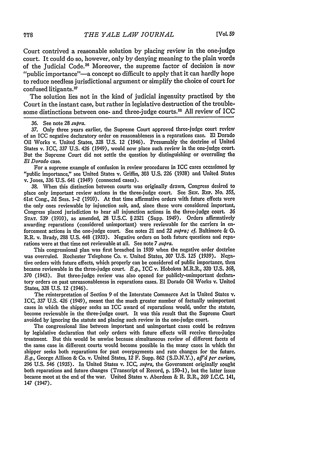Court contrived a reasonable solution by placing review in the one-judge court. It could do so, however, only by denying meaning to the plain words of the Judicial Code.<sup>36</sup> Moreover, the supreme factor of decision is now "public importance"-a concept so difficult to apply that it can hardly hope to reduce needless jurisdictional argument or simplify the choice of court for confused litigants.<sup>37</sup>

The solution lies not in the kind of judicial ingenuity practised by the Court in the instant case, but rather in legislative destruction of the troublesome distinctions between one- and three-judge courts.<sup>38</sup> All review of ICC

37. Only three years earlier, the Supreme Court approved three-judge court review of an ICC negative declaratory order on reasonableness in a reparations case. **El** Dorado Oil Works v. United States, 328 U.S. 12 (1946). Presumably the doctrine of United States v. ICC, 337 U.S. 426 (1949), would now place such review in the one-judge court. But the Supreme Court did not settle the question by distinguishing or overruling the *El Dorado* case.

For a supreme example of confusion in review procedures in ICC cases occasioned by "public importance," see United States v. Griffin, 303 U.S. 226 (1938) and United States v. Jones, 336 U.S. 641 (1949) (connected cases).

38. When this distinction between courts was originally drawn, Congress desired to place only important review actions in the three-judge court. See SEn. REP. No. **355,** 61st Cong., 2d Sess. 1-2 (1910). At that time affirmative orders with future effects were the only ones reviewable by injunction suit, and, since these were considered important, Congress placed jurisdiction to hear all injunction actions in the three-judge court. **36 STAT.** 539 (1910), as amended, 28 U.S.C. §2321 (Supp. 1949). Orders affirmatively awarding reparations (considered unimportant) were reviewable for the carriers in enforcement actions in the one-judge court. See notes 21 and 22 *siupra; cf.* Baltimore & **0,** R.R. v. Brady, 288 U.S. 448 (1933). Negative orders on both future questions and reparations were at that time not reviewable at all. See note 7 *supra.*

This congressional plan was first breached in 1939 when the negative order doctrine was overruled. Rochester Telephone Co. v. United States, 307 U.S. 125 (1939). Negative orders with future effects, which properly can be considered **of** public importance, then became reviewable in the three-judge court. *E.g.,* ICC v. Hoboken M.R.R., 320 U.S. 368, 370 (1943). But three-judge review was also opened for publicly-unimportant declaratory orders on past unreasonableness in reparations cases. El Dorado **Oil** Works v. United States, 328 U.S. 12 (1946).

The reinterpretation of Section 9 of the Interstate Commerce Act in United States v. ICC, *337* U.S. 426 (1949), meant that the much greater number of factually unimportant cases in which the shipper seeks an ICC award of reparations would, under the statute, become reviewable in the three-judge court. It was this result that the Supreme Court avoided by ignoring the statute and placing such review in the one-judge court.

The congressional line between important and unimportant cases could be redrawn by legislative declaration that only orders with future effects will receive three-judge treatment. But this would be unwise because simultaneous review of different facets of the same case in different courts would become possible in the many cases in which the shipper seeks both reparations for past overpayments and rate changes for the future. *E.g.,* George Allison & Co. v. United States, 12 F. Supp. 862 (S.D.N.Y.), *aff'd per curialls,* **296** U.S. 546 (1935). In United States v. ICC, *supra,* the Government originally sought both reparations and future changes (Transcript of Record, p. 150-1), but the latter issue became moot at the end of the war. United States v. Aberdeen & R. R.R., **269 I.C.C.** 141, 147 (1947).

<sup>36.</sup> See note 28 *supra.*